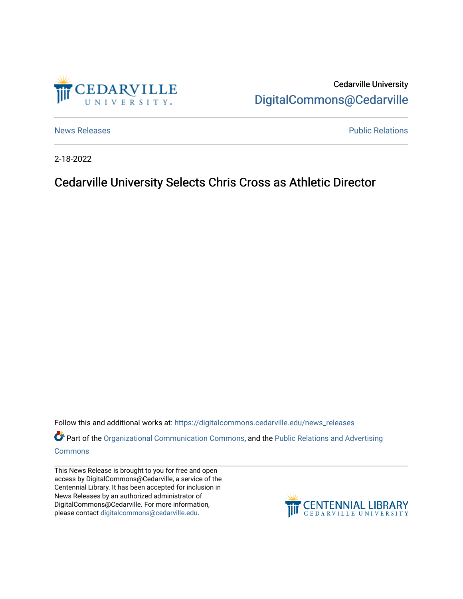

Cedarville University [DigitalCommons@Cedarville](https://digitalcommons.cedarville.edu/) 

[News Releases](https://digitalcommons.cedarville.edu/news_releases) **Public Relations Public Relations** 

2-18-2022

Cedarville University Selects Chris Cross as Athletic Director

Follow this and additional works at: [https://digitalcommons.cedarville.edu/news\\_releases](https://digitalcommons.cedarville.edu/news_releases?utm_source=digitalcommons.cedarville.edu%2Fnews_releases%2F1502&utm_medium=PDF&utm_campaign=PDFCoverPages) 

Part of the [Organizational Communication Commons](http://network.bepress.com/hgg/discipline/335?utm_source=digitalcommons.cedarville.edu%2Fnews_releases%2F1502&utm_medium=PDF&utm_campaign=PDFCoverPages), and the Public Relations and Advertising [Commons](http://network.bepress.com/hgg/discipline/336?utm_source=digitalcommons.cedarville.edu%2Fnews_releases%2F1502&utm_medium=PDF&utm_campaign=PDFCoverPages)

This News Release is brought to you for free and open access by DigitalCommons@Cedarville, a service of the Centennial Library. It has been accepted for inclusion in News Releases by an authorized administrator of DigitalCommons@Cedarville. For more information, please contact [digitalcommons@cedarville.edu](mailto:digitalcommons@cedarville.edu).

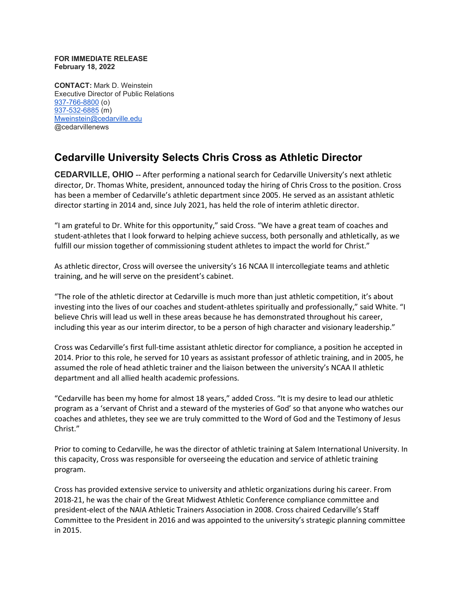## **FOR IMMEDIATE RELEASE February 18, 2022**

**CONTACT:** Mark D. Weinstein Executive Director of Public Relations [937-766-8800](tel:937-766-8800) (o) [937-532-6885](tel:937-532-6885) (m) [Mweinstein@cedarville.edu](mailto:Mweinstein@cedarville.edu) @cedarvillenews

## **Cedarville University Selects Chris Cross as Athletic Director**

**CEDARVILLE, OHIO --** After performing a national search for Cedarville University's next athletic director, Dr. Thomas White, president, announced today the hiring of Chris Cross to the position. Cross has been a member of Cedarville's athletic department since 2005. He served as an assistant athletic director starting in 2014 and, since July 2021, has held the role of interim athletic director.

"I am grateful to Dr. White for this opportunity," said Cross. "We have a great team of coaches and student-athletes that I look forward to helping achieve success, both personally and athletically, as we fulfill our mission together of commissioning student athletes to impact the world for Christ."

As athletic director, Cross will oversee the university's 16 NCAA II intercollegiate teams and athletic training, and he will serve on the president's cabinet.

"The role of the athletic director at Cedarville is much more than just athletic competition, it's about investing into the lives of our coaches and student-athletes spiritually and professionally," said White. "I believe Chris will lead us well in these areas because he has demonstrated throughout his career, including this year as our interim director, to be a person of high character and visionary leadership."

Cross was Cedarville's first full-time assistant athletic director for compliance, a position he accepted in 2014. Prior to this role, he served for 10 years as assistant professor of athletic training, and in 2005, he assumed the role of head athletic trainer and the liaison between the university's NCAA II athletic department and all allied health academic professions.

"Cedarville has been my home for almost 18 years," added Cross. "It is my desire to lead our athletic program as a 'servant of Christ and a steward of the mysteries of God' so that anyone who watches our coaches and athletes, they see we are truly committed to the Word of God and the Testimony of Jesus Christ."

Prior to coming to Cedarville, he was the director of athletic training at Salem International University. In this capacity, Cross was responsible for overseeing the education and service of athletic training program.

Cross has provided extensive service to university and athletic organizations during his career. From 2018-21, he was the chair of the Great Midwest Athletic Conference compliance committee and president-elect of the NAIA Athletic Trainers Association in 2008. Cross chaired Cedarville's Staff Committee to the President in 2016 and was appointed to the university's strategic planning committee in 2015.